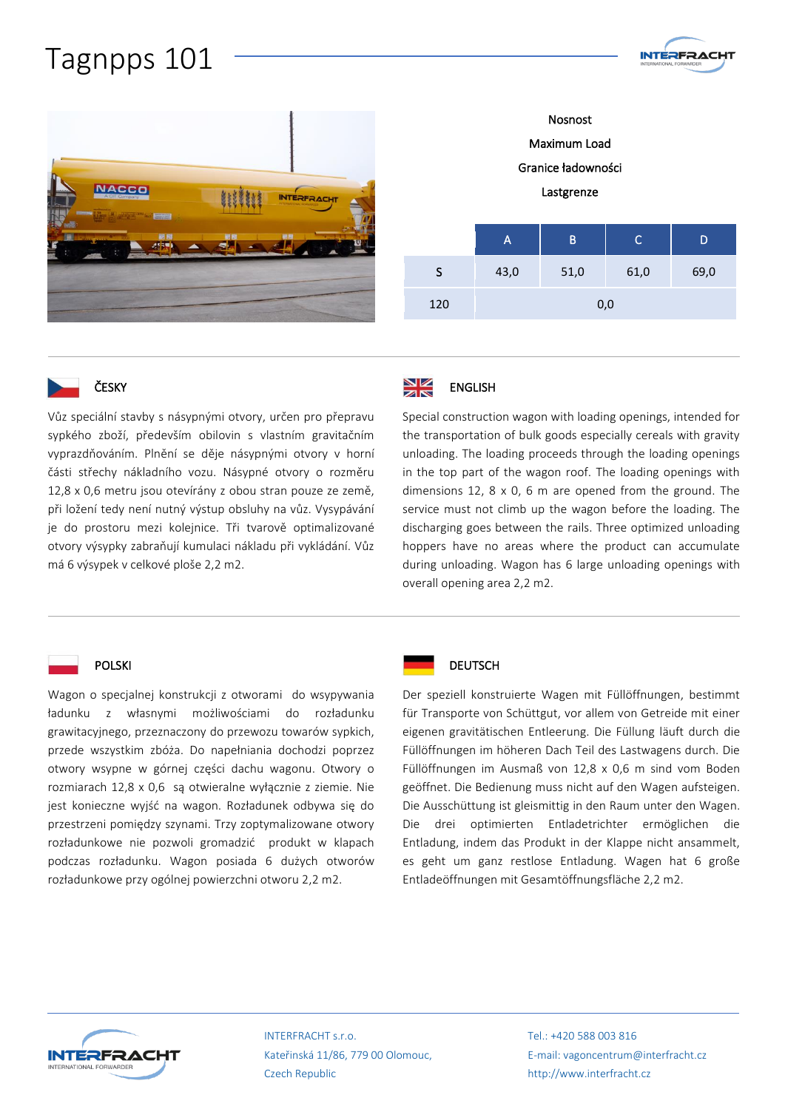# Tagnpps 101



Nosnost Maximum Load Granice ładowności Lastgrenze

**INTERFRACHT** 





# ČESKY

Vůz speciální stavby s násypnými otvory, určen pro přepravu sypkého zboží, především obilovin s vlastním gravitačním vyprazdňováním. Plnění se děje násypnými otvory v horní části střechy nákladního vozu. Násypné otvory o rozměru 12,8 x 0,6 metru jsou otevírány z obou stran pouze ze země, při ložení tedy není nutný výstup obsluhy na vůz. Vysypávání je do prostoru mezi kolejnice. Tři tvarově optimalizované otvory výsypky zabraňují kumulaci nákladu při vykládání. Vůz má 6 výsypek v celkové ploše 2,2 m2.

#### NK<br>AK ENGLISH

Special construction wagon with loading openings, intended for the transportation of bulk goods especially cereals with gravity unloading. The loading proceeds through the loading openings in the top part of the wagon roof. The loading openings with dimensions 12, 8 x 0, 6 m are opened from the ground. The service must not climb up the wagon before the loading. The discharging goes between the rails. Three optimized unloading hoppers have no areas where the product can accumulate during unloading. Wagon has 6 large unloading openings with overall opening area 2,2 m2.

### POLSKI

Wagon o specjalnej konstrukcji z otworami do wsypywania ładunku z własnymi możliwościami do rozładunku grawitacyjnego, przeznaczony do przewozu towarów sypkich, przede wszystkim zbóża. Do napełniania dochodzi poprzez otwory wsypne w górnej części dachu wagonu. Otwory o rozmiarach 12,8 x 0,6 są otwieralne wyłącznie z ziemie. Nie jest konieczne wyjść na wagon. Rozładunek odbywa się do przestrzeni pomiędzy szynami. Trzy zoptymalizowane otwory rozładunkowe nie pozwoli gromadzić produkt w klapach podczas rozładunku. Wagon posiada 6 dużych otworów rozładunkowe przy ogólnej powierzchni otworu 2,2 m2.



### **DEUTSCH**

Der speziell konstruierte Wagen mit Füllöffnungen, bestimmt für Transporte von Schüttgut, vor allem von Getreide mit einer eigenen gravitätischen Entleerung. Die Füllung läuft durch die Füllöffnungen im höheren Dach Teil des Lastwagens durch. Die Füllöffnungen im Ausmaß von 12,8 x 0,6 m sind vom Boden geöffnet. Die Bedienung muss nicht auf den Wagen aufsteigen. Die Ausschüttung ist gleismittig in den Raum unter den Wagen. Die drei optimierten Entladetrichter ermöglichen die Entladung, indem das Produkt in der Klappe nicht ansammelt, es geht um ganz restlose Entladung. Wagen hat 6 große Entladeöffnungen mit Gesamtöffnungsfläche 2,2 m2.



INTERFRACHT s.r.o. Kateřinská 11/86, 779 00 Olomouc, Czech Republic

Tel.: +420 588 003 816 E-mail: vagoncentrum@interfracht.cz http://www.interfracht.cz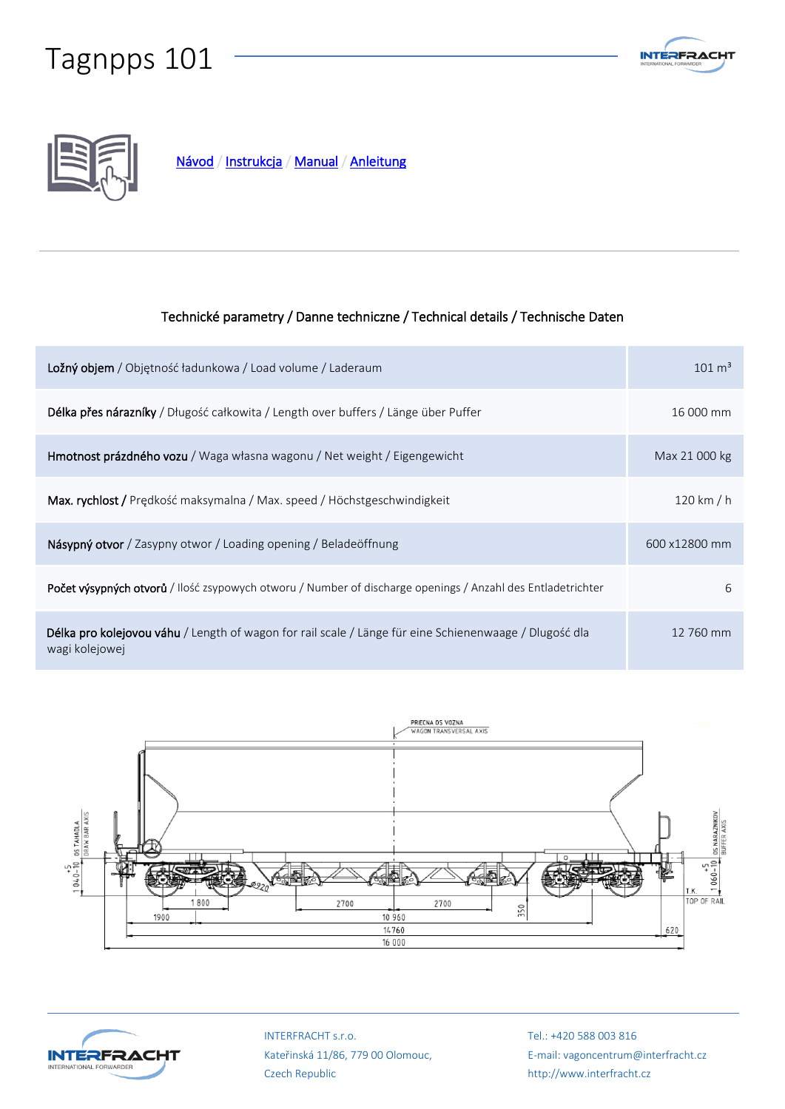# Tagnpps 101





[Návod](Roof-Operation-on-Tagnpps-101.pdf) / [Instrukcja](Roof-Operation-on-Tagnpps-101.pdf) / [Manual / Anleitung](Roof-Operation-on-Tagnpps-101.pdf) 

# Technické parametry / Danne techniczne / Technical details / Technische Daten

| Ložný objem / Objętność ładunkowa / Load volume / Laderaum                                                                      | $101 \text{ m}^3$ |
|---------------------------------------------------------------------------------------------------------------------------------|-------------------|
| Délka přes nárazníky / Długość całkowita / Length over buffers / Länge über Puffer                                              | 16 000 mm         |
| <b>Hmotnost prázdného vozu</b> / Waga własna wagonu / Net weight / Eigengewicht                                                 | Max 21 000 kg     |
| Max. rychlost / Predkość maksymalna / Max. speed / Höchstgeschwindigkeit                                                        | 120 km / $h$      |
| Násypný otvor / Zasypny otwor / Loading opening / Beladeöffnung                                                                 | 600 x12800 mm     |
| Počet výsypných otvorů / Ilość zsypowych otworu / Number of discharge openings / Anzahl des Entladetrichter                     | 6                 |
| <b>Délka pro kolejovou váhu</b> / Length of wagon for rail scale / Länge für eine Schienenwaage / Dlugość dla<br>wagi kolejowej | 12 760 mm         |





INTERFRACHT s.r.o. Kateřinská 11/86, 779 00 Olomouc, Czech Republic

Tel.: +420 588 003 816 E-mail: vagoncentrum@interfracht.cz http://www.interfracht.cz